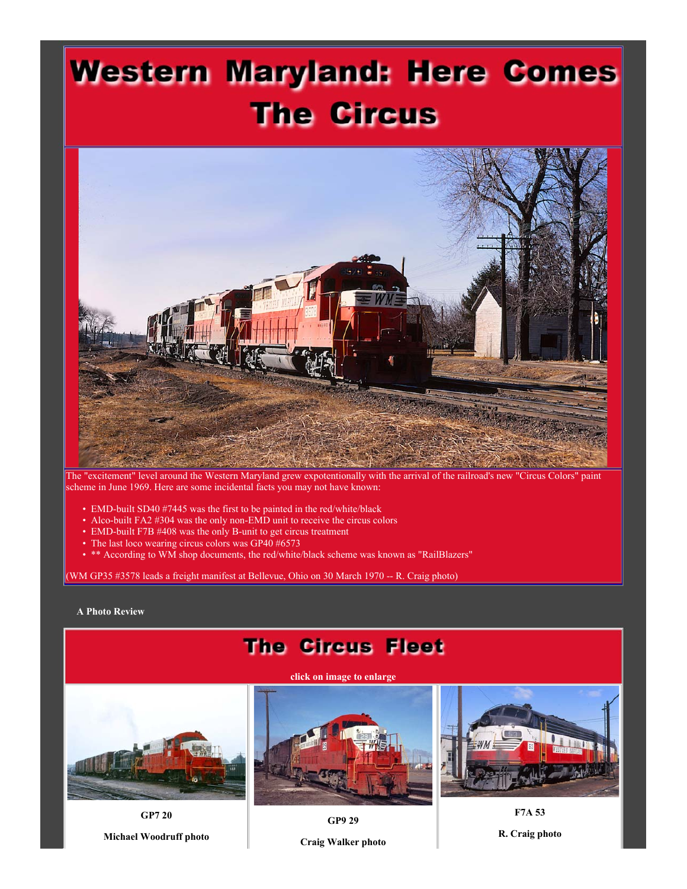## **Western Maryland: Here Comes The Circus**



The "excitement" level around the Western Maryland grew expotentionally with the arrival of the railroad's new "Circus Colors" paint scheme in June 1969. Here are some incidental facts you may not have known:

- EMD-built SD40 #7445 was the first to be painted in the red/white/black
- Alco-built FA2 #304 was the only non-EMD unit to receive the circus colors
- EMD-built F7B #408 was the only B-unit to get circus treatment
- The last loco wearing circus colors was GP40 #6573
- \*\* According to WM shop documents, the red/white/black scheme was known as "RailBlazers"

(WM GP35 #3578 leads a freight manifest at Bellevue, Ohio on 30 March 1970 -- R. Craig photo)

## **A Photo Review**

## **The Circus Fleet click on image to enlarge F7A 53 GP7 20**

**Michael Woodruff photo**

**GP9 29**

**R. Craig photo**

**Craig Walker photo**